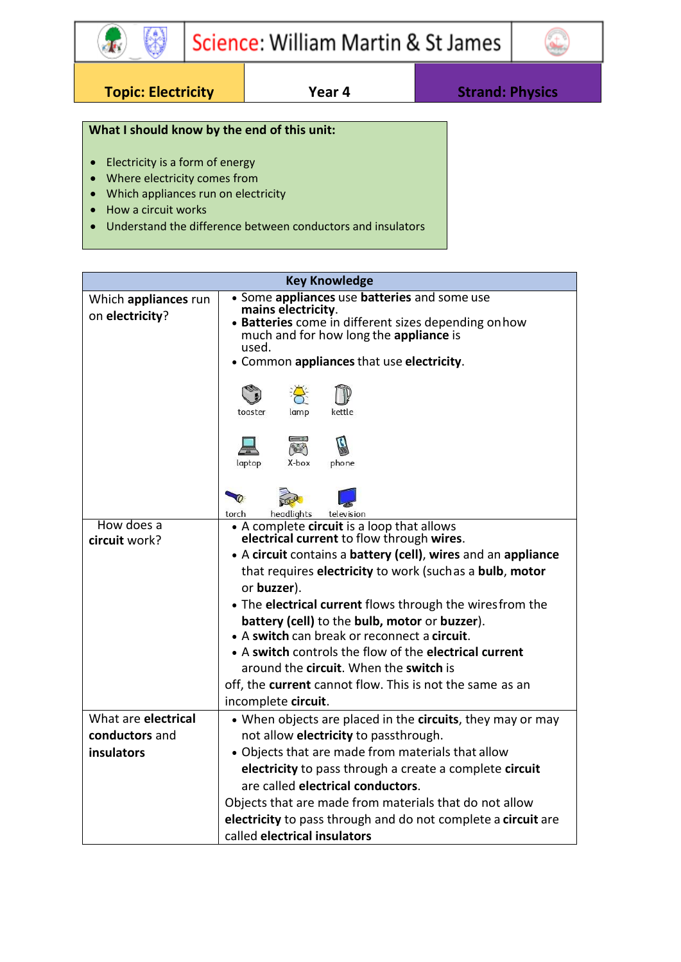

**Topic: Electricity Year 4 Strand: Physics**

\$

 $\mathbf{F}$ 

## **What I should know by the end of this unit:**

- Electricity is a form of energy
- Where electricity comes from
- Which appliances run on electricity
- How a circuit works
- Understand the difference between conductors and insulators

| <b>Key Knowledge</b>                    |                                                                                                                                                                                                                            |  |  |
|-----------------------------------------|----------------------------------------------------------------------------------------------------------------------------------------------------------------------------------------------------------------------------|--|--|
| Which appliances run<br>on electricity? | • Some appliances use batteries and some use<br>mains electricity.<br>• Batteries come in different sizes depending on how<br>much and for how long the appliance is<br>used.<br>• Common appliances that use electricity. |  |  |
|                                         | kettle<br>toaster<br>lamp                                                                                                                                                                                                  |  |  |
|                                         | <b>Best</b><br>laptop<br>X-box<br>phone                                                                                                                                                                                    |  |  |
|                                         | headlights<br>television<br>torch                                                                                                                                                                                          |  |  |
| How does a                              | • A complete circuit is a loop that allows<br>electrical current to flow through wires.                                                                                                                                    |  |  |
| circuit work?                           | • A circuit contains a battery (cell), wires and an appliance                                                                                                                                                              |  |  |
|                                         | that requires electricity to work (suchas a bulb, motor                                                                                                                                                                    |  |  |
|                                         | or buzzer).                                                                                                                                                                                                                |  |  |
|                                         | • The electrical current flows through the wires from the                                                                                                                                                                  |  |  |
|                                         | battery (cell) to the bulb, motor or buzzer).                                                                                                                                                                              |  |  |
|                                         | • A switch can break or reconnect a circuit.                                                                                                                                                                               |  |  |
|                                         | • A switch controls the flow of the electrical current                                                                                                                                                                     |  |  |
|                                         | around the circuit. When the switch is                                                                                                                                                                                     |  |  |
|                                         | off, the current cannot flow. This is not the same as an                                                                                                                                                                   |  |  |
|                                         | incomplete circuit.                                                                                                                                                                                                        |  |  |
| What are electrical                     | • When objects are placed in the circuits, they may or may                                                                                                                                                                 |  |  |
| conductors and                          | not allow electricity to passthrough.                                                                                                                                                                                      |  |  |
| insulators                              | • Objects that are made from materials that allow                                                                                                                                                                          |  |  |
|                                         | electricity to pass through a create a complete circuit                                                                                                                                                                    |  |  |
|                                         | are called electrical conductors.                                                                                                                                                                                          |  |  |
|                                         | Objects that are made from materials that do not allow                                                                                                                                                                     |  |  |
|                                         | electricity to pass through and do not complete a circuit are                                                                                                                                                              |  |  |
|                                         | called electrical insulators                                                                                                                                                                                               |  |  |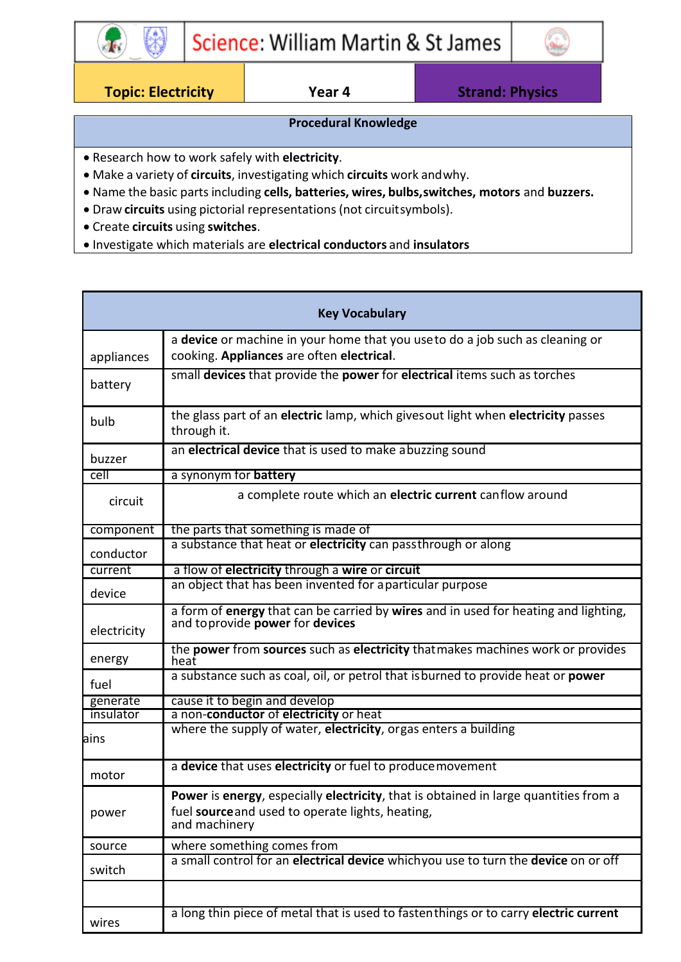

**Topic: Electricity Year 4 Strand: Physics**

### **Procedural Knowledge**

- Research how to work safely with **electricity**.
- Make a variety of **circuits**, investigating which **circuits** work andwhy.
- Name the basic partsincluding **cells, batteries, wires, bulbs,switches, motors** and **buzzers.**
- Draw **circuits** using pictorial representations(not circuitsymbols).
- Create **circuits** using **switches**.
- Investigate which materials are **electrical conductors** and **insulators**

| <b>Key Vocabulary</b> |                                                                                                                                                                  |  |
|-----------------------|------------------------------------------------------------------------------------------------------------------------------------------------------------------|--|
| appliances            | a device or machine in your home that you useto do a job such as cleaning or<br>cooking. Appliances are often electrical.                                        |  |
| battery               | small devices that provide the power for electrical items such as torches                                                                                        |  |
| bulb                  | the glass part of an electric lamp, which gives out light when electricity passes<br>through it.                                                                 |  |
| buzzer                | an electrical device that is used to make abuzzing sound                                                                                                         |  |
| cell                  | a synonym for battery                                                                                                                                            |  |
| circuit               | a complete route which an electric current canflow around                                                                                                        |  |
| component             | the parts that something is made of                                                                                                                              |  |
| conductor             | a substance that heat or electricity can passthrough or along                                                                                                    |  |
| current               | a flow of electricity through a wire or circuit                                                                                                                  |  |
| device                | an object that has been invented for aparticular purpose                                                                                                         |  |
| electricity           | a form of energy that can be carried by wires and in used for heating and lighting,<br>and to provide power for devices                                          |  |
| energy                | the power from sources such as electricity that makes machines work or provides<br>heat                                                                          |  |
| fuel                  | a substance such as coal, oil, or petrol that is burned to provide heat or power                                                                                 |  |
| generate              | cause it to begin and develop                                                                                                                                    |  |
| insulator             | a non-conductor of electricity or heat                                                                                                                           |  |
| ains                  | where the supply of water, electricity, orgas enters a building                                                                                                  |  |
| motor                 | a device that uses electricity or fuel to produce movement                                                                                                       |  |
| power                 | <b>Power is energy, especially electricity, that is obtained in large quantities from a</b><br>fuel source and used to operate lights, heating,<br>and machinery |  |
| source                | where something comes from                                                                                                                                       |  |
| switch                | a small control for an electrical device whichyou use to turn the device on or off                                                                               |  |
|                       |                                                                                                                                                                  |  |
| wires                 | a long thin piece of metal that is used to fastenthings or to carry electric current                                                                             |  |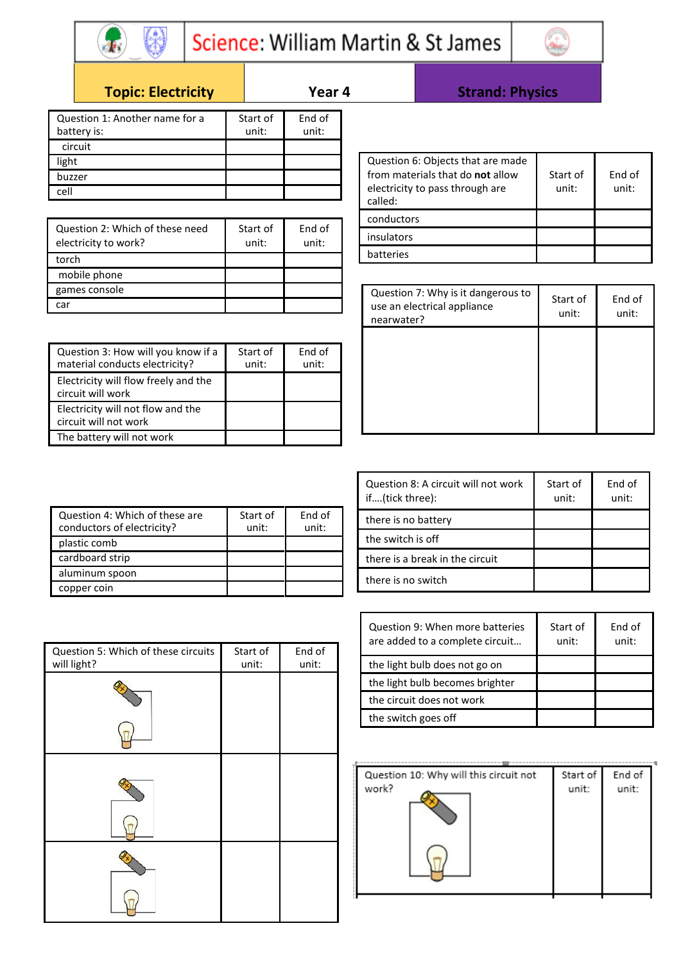

# Science: William Martin & St James

Г



## **Topic: Electricity Year 4 Strand: Physics**

| Question 1: Another name for a<br>battery is: | Start of<br>unit: | End of<br>unit: |
|-----------------------------------------------|-------------------|-----------------|
| circuit                                       |                   |                 |
| light                                         |                   |                 |
| buzzer                                        |                   |                 |
| اام-                                          |                   |                 |

| Question 2: Which of these need<br>electricity to work? | Start of<br>unit: | End of<br>unit: |
|---------------------------------------------------------|-------------------|-----------------|
| torch                                                   |                   |                 |
| mobile phone                                            |                   |                 |
| games console                                           |                   |                 |
|                                                         |                   |                 |

| Question 3: How will you know if a<br>material conducts electricity? | Start of<br>unit: | End of<br>unit: |
|----------------------------------------------------------------------|-------------------|-----------------|
| Electricity will flow freely and the<br>circuit will work            |                   |                 |
| Electricity will not flow and the<br>circuit will not work           |                   |                 |
| The battery will not work                                            |                   |                 |

| Question 6: Objects that are made<br>from materials that do not allow<br>electricity to pass through are<br>called: | Start of<br>unit: | End of<br>unit: |
|---------------------------------------------------------------------------------------------------------------------|-------------------|-----------------|
| conductors                                                                                                          |                   |                 |
| insulators                                                                                                          |                   |                 |
| hatteries                                                                                                           |                   |                 |

| Question 7: Why is it dangerous to<br>use an electrical appliance<br>nearwater? | Start of<br>unit: | End of<br>unit: |
|---------------------------------------------------------------------------------|-------------------|-----------------|
|                                                                                 |                   |                 |
|                                                                                 |                   |                 |

| Question 4: Which of these are<br>conductors of electricity? | Start of<br>unit: | End of<br>unit: |
|--------------------------------------------------------------|-------------------|-----------------|
| plastic comb                                                 |                   |                 |
| cardboard strip                                              |                   |                 |
| aluminum spoon                                               |                   |                 |
| copper coin                                                  |                   |                 |

| Question 8: A circuit will not work<br>if(tick three): | Start of<br>unit: | End of<br>unit: |
|--------------------------------------------------------|-------------------|-----------------|
| there is no battery                                    |                   |                 |
| the switch is off                                      |                   |                 |
| there is a break in the circuit                        |                   |                 |
| there is no switch                                     |                   |                 |

Т

Т

| Question 9: When more batteries<br>are added to a complete circuit | Start of<br>unit: | End of<br>unit: |
|--------------------------------------------------------------------|-------------------|-----------------|
| the light bulb does not go on                                      |                   |                 |
| the light bulb becomes brighter                                    |                   |                 |
| the circuit does not work                                          |                   |                 |
| the switch goes off                                                |                   |                 |
|                                                                    |                   |                 |

| Question 10: Why will this circuit not | Start of | End of |
|----------------------------------------|----------|--------|
| work?                                  | unit:    | unit:  |
|                                        |          |        |
|                                        |          |        |
|                                        |          |        |
|                                        |          |        |

| Question 4: Which of these are<br>conductors of electricity? | Start of<br>unit: | End of<br>unit: |
|--------------------------------------------------------------|-------------------|-----------------|
| plastic comb                                                 |                   |                 |
| cardboard strip                                              |                   |                 |
| aluminum spoon                                               |                   |                 |
| copper coin                                                  |                   |                 |
|                                                              |                   |                 |

| Question 5: Which of these circuits<br>will light? | Start of<br>unit: | End of<br>unit: |
|----------------------------------------------------|-------------------|-----------------|
|                                                    |                   |                 |
|                                                    |                   |                 |
|                                                    |                   |                 |
|                                                    |                   |                 |